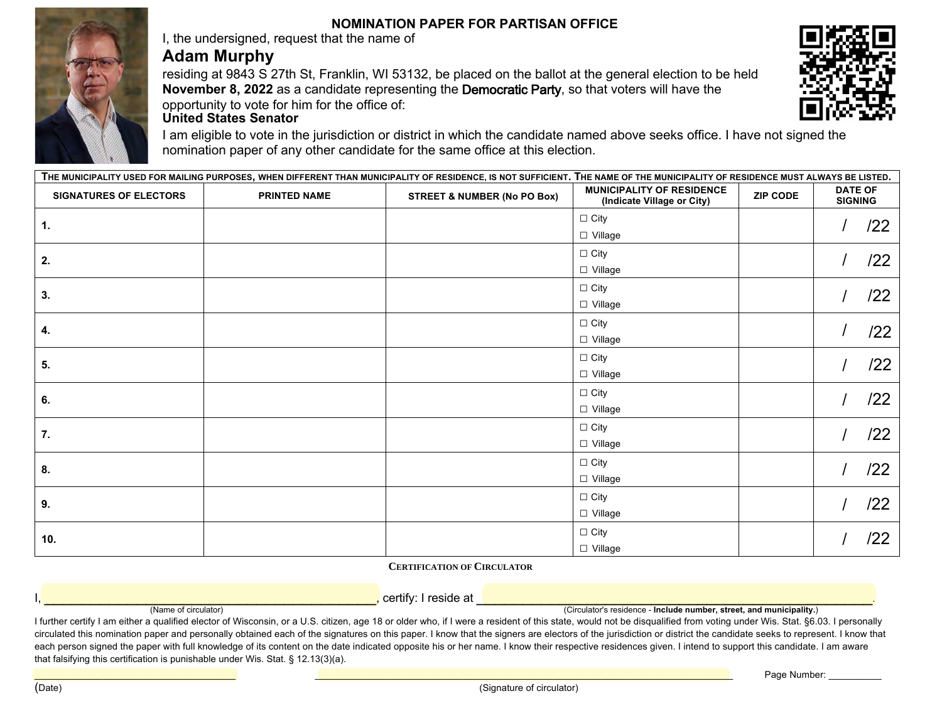## **NOMINATION PAPER FOR PARTISAN OFFICE**

I, the undersigned, request that the name of

## **Adam Murphy**

residing at 9843 S 27th St, Franklin, WI 53132, be placed on the ballot at the general election to be held **November 8, 2022** as a candidate representing the Democratic Party, so that voters will have the opportunity to vote for him for the office of:



I am eligible to vote in the jurisdiction or district in which the candidate named above seeks office. I have not signed the nomination paper of any other candidate for the same office at this election.

| THE MUNICIPALITY USED FOR MAILING PURPOSES, WHEN DIFFERENT THAN MUNICIPALITY OF RESIDENCE, IS NOT SUFFICIENT. THE NAME OF THE MUNICIPALITY OF RESIDENCE MUST ALWAYS BE LISTED. |                     |                                        |                                                                |                 |                                  |
|--------------------------------------------------------------------------------------------------------------------------------------------------------------------------------|---------------------|----------------------------------------|----------------------------------------------------------------|-----------------|----------------------------------|
| <b>SIGNATURES OF ELECTORS</b>                                                                                                                                                  | <b>PRINTED NAME</b> | <b>STREET &amp; NUMBER (No PO Box)</b> | <b>MUNICIPALITY OF RESIDENCE</b><br>(Indicate Village or City) | <b>ZIP CODE</b> | <b>DATE OF</b><br><b>SIGNING</b> |
| 1.                                                                                                                                                                             |                     |                                        | $\Box$ City<br>□ Village                                       |                 | /22                              |
| 2.                                                                                                                                                                             |                     |                                        | $\Box$ City<br>□ Village                                       |                 | /22                              |
| 3.                                                                                                                                                                             |                     |                                        | $\Box$ City<br>□ Village                                       |                 | /22                              |
| 4.                                                                                                                                                                             |                     |                                        | $\Box$ City<br>□ Village                                       |                 | /22                              |
| 5.                                                                                                                                                                             |                     |                                        | $\Box$ City<br>□ Village                                       |                 | /22                              |
| 6.                                                                                                                                                                             |                     |                                        | $\Box$ City<br>□ Village                                       |                 | /22                              |
| 7.                                                                                                                                                                             |                     |                                        | $\Box$ City<br>□ Village                                       |                 | /22                              |
| 8.                                                                                                                                                                             |                     |                                        | $\Box$ City<br>□ Village                                       |                 | /22                              |
| 9.                                                                                                                                                                             |                     |                                        | $\Box$ City<br>□ Village                                       |                 | /22                              |
| 10.                                                                                                                                                                            |                     |                                        | $\Box$ City<br>□ Village                                       |                 | /22                              |

**CERTIFICATION OF CIRCULATOR**

I, \_\_\_\_\_\_\_\_\_\_\_\_\_\_\_\_\_\_\_\_\_\_\_\_\_\_\_\_\_\_\_\_\_\_\_\_, certify: I reside at \_\_\_\_\_\_\_\_\_\_\_\_\_\_\_\_\_\_\_\_\_\_\_\_\_\_\_\_\_\_\_\_\_\_\_\_\_\_\_\_\_\_\_. (Name of circulator) (Circulator's residence - **Include number, street, and municipality.**)

I further certify I am either a qualified elector of Wisconsin, or a U.S. citizen, age 18 or older who, if I were a resident of this state, would not be disqualified from voting under Wis. Stat. §6.03. I personally circulated this nomination paper and personally obtained each of the signatures on this paper. I know that the signers are electors of the jurisdiction or district the candidate seeks to represent. I know that each person signed the paper with full knowledge of its content on the date indicated opposite his or her name. I know their respective residences given. I intend to support this candidate. I am aware that falsifying this certification is punishable under Wis. Stat. § 12.13(3)(a).

 $\blacksquare$  . The contribution of the contribution of the contribution of the contribution of the contribution of the contribution of the contribution of the contribution of the contribution of the contribution of the contribu